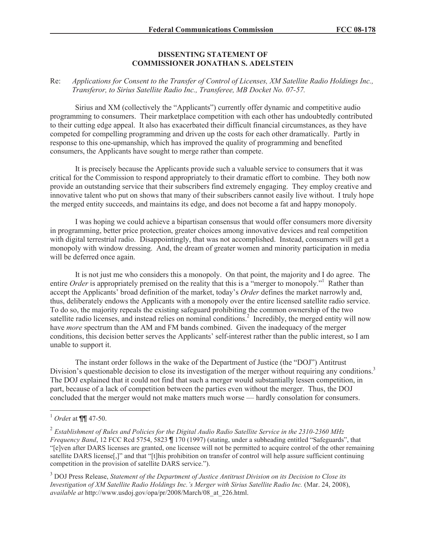## **DISSENTING STATEMENT OF COMMISSIONER JONATHAN S. ADELSTEIN**

## Re: *Applications for Consent to the Transfer of Control of Licenses, XM Satellite Radio Holdings Inc., Transferor, to Sirius Satellite Radio Inc., Transferee, MB Docket No. 07-57.*

Sirius and XM (collectively the "Applicants") currently offer dynamic and competitive audio programming to consumers. Their marketplace competition with each other has undoubtedly contributed to their cutting edge appeal. It also has exacerbated their difficult financial circumstances, as they have competed for compelling programming and driven up the costs for each other dramatically. Partly in response to this one-upmanship, which has improved the quality of programming and benefited consumers, the Applicants have sought to merge rather than compete.

It is precisely because the Applicants provide such a valuable service to consumers that it was critical for the Commission to respond appropriately to their dramatic effort to combine. They both now provide an outstanding service that their subscribers find extremely engaging. They employ creative and innovative talent who put on shows that many of their subscribers cannot easily live without. I truly hope the merged entity succeeds, and maintains its edge, and does not become a fat and happy monopoly.

I was hoping we could achieve a bipartisan consensus that would offer consumers more diversity in programming, better price protection, greater choices among innovative devices and real competition with digital terrestrial radio. Disappointingly, that was not accomplished. Instead, consumers will get a monopoly with window dressing. And, the dream of greater women and minority participation in media will be deferred once again.

It is not just me who considers this a monopoly. On that point, the majority and I do agree. The entire *Order* is appropriately premised on the reality that this is a "merger to monopoly."<sup>1</sup> Rather than accept the Applicants' broad definition of the market, today's *Order* defines the market narrowly and, thus, deliberately endows the Applicants with a monopoly over the entire licensed satellite radio service. To do so, the majority repeals the existing safeguard prohibiting the common ownership of the two satellite radio licenses, and instead relies on nominal conditions.<sup>2</sup> Incredibly, the merged entity will now have *more* spectrum than the AM and FM bands combined. Given the inadequacy of the merger conditions, this decision better serves the Applicants' self-interest rather than the public interest, so I am unable to support it.

The instant order follows in the wake of the Department of Justice (the "DOJ") Antitrust Division's questionable decision to close its investigation of the merger without requiring any conditions.<sup>3</sup> The DOJ explained that it could not find that such a merger would substantially lessen competition, in part, because of a lack of competition between the parties even without the merger. Thus, the DOJ concluded that the merger would not make matters much worse — hardly consolation for consumers.

<sup>1</sup> *Orde*r at ¶¶ 47-50.

<sup>2</sup> *Establishment of Rules and Policies for the Digital Audio Radio Satellite Service in the 2310-2360 MHz Frequency Band*, 12 FCC Rcd 5754, 5823 ¶ 170 (1997) (stating, under a subheading entitled "Safeguards", that "[e]ven after DARS licenses are granted, one licensee will not be permitted to acquire control of the other remaining satellite DARS license[,]" and that "[t]his prohibition on transfer of control will help assure sufficient continuing competition in the provision of satellite DARS service.").

<sup>3</sup> DOJ Press Release, *Statement of the Department of Justice Antitrust Division on its Decision to Close its Investigation of XM Satellite Radio Holdings Inc.'s Merger with Sirius Satellite Radio Inc.* (Mar. 24, 2008), *available at* http://www.usdoj.gov/opa/pr/2008/March/08\_at\_226.html.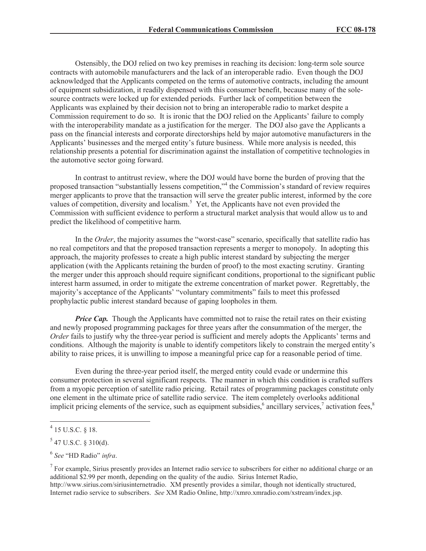Ostensibly, the DOJ relied on two key premises in reaching its decision: long-term sole source contracts with automobile manufacturers and the lack of an interoperable radio. Even though the DOJ acknowledged that the Applicants competed on the terms of automotive contracts, including the amount of equipment subsidization, it readily dispensed with this consumer benefit, because many of the solesource contracts were locked up for extended periods. Further lack of competition between the Applicants was explained by their decision not to bring an interoperable radio to market despite a Commission requirement to do so. It is ironic that the DOJ relied on the Applicants' failure to comply with the interoperability mandate as a justification for the merger. The DOJ also gave the Applicants a pass on the financial interests and corporate directorships held by major automotive manufacturers in the Applicants' businesses and the merged entity's future business. While more analysis is needed, this relationship presents a potential for discrimination against the installation of competitive technologies in the automotive sector going forward.

In contrast to antitrust review, where the DOJ would have borne the burden of proving that the proposed transaction "substantially lessens competition,"<sup>4</sup> the Commission's standard of review requires merger applicants to prove that the transaction will serve the greater public interest, informed by the core values of competition, diversity and localism.<sup>5</sup> Yet, the Applicants have not even provided the Commission with sufficient evidence to perform a structural market analysis that would allow us to and predict the likelihood of competitive harm.

In the *Order*, the majority assumes the "worst-case" scenario, specifically that satellite radio has no real competitors and that the proposed transaction represents a merger to monopoly. In adopting this approach, the majority professes to create a high public interest standard by subjecting the merger application (with the Applicants retaining the burden of proof) to the most exacting scrutiny. Granting the merger under this approach should require significant conditions, proportional to the significant public interest harm assumed, in order to mitigate the extreme concentration of market power. Regrettably, the majority's acceptance of the Applicants' "voluntary commitments" fails to meet this professed prophylactic public interest standard because of gaping loopholes in them.

*Price Cap.* Though the Applicants have committed not to raise the retail rates on their existing and newly proposed programming packages for three years after the consummation of the merger, the *Order* fails to justify why the three-year period is sufficient and merely adopts the Applicants' terms and conditions. Although the majority is unable to identify competitors likely to constrain the merged entity's ability to raise prices, it is unwilling to impose a meaningful price cap for a reasonable period of time.

Even during the three-year period itself, the merged entity could evade or undermine this consumer protection in several significant respects. The manner in which this condition is crafted suffers from a myopic perception of satellite radio pricing. Retail rates of programming packages constitute only one element in the ultimate price of satellite radio service. The item completely overlooks additional implicit pricing elements of the service, such as equipment subsidies,<sup>6</sup> ancillary services,<sup>7</sup> activation fees,<sup>8</sup>

 $4$  15 U.S.C. § 18.

 $5$  47 U.S.C. § 310(d).

<sup>6</sup> *See* "HD Radio" *infra*.

 $<sup>7</sup>$  For example, Sirius presently provides an Internet radio service to subscribers for either no additional charge or an</sup> additional \$2.99 per month, depending on the quality of the audio. Sirius Internet Radio, http://www.sirius.com/siriusinternetradio. XM presently provides a similar, though not identically structured, Internet radio service to subscribers. *See* XM Radio Online, http://xmro.xmradio.com/xstream/index.jsp.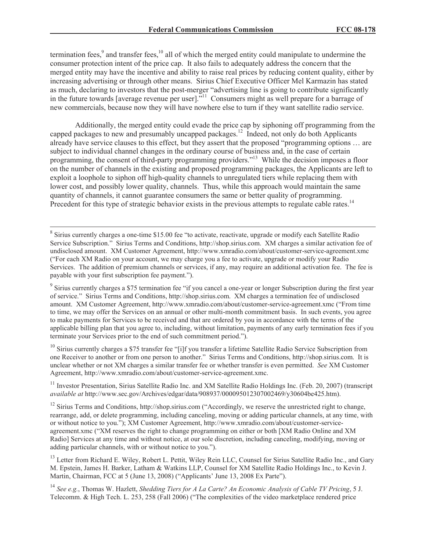termination fees, $9$  and transfer fees, $10$  all of which the merged entity could manipulate to undermine the consumer protection intent of the price cap. It also fails to adequately address the concern that the merged entity may have the incentive and ability to raise real prices by reducing content quality, either by increasing advertising or through other means. Sirius Chief Executive Officer Mel Karmazin has stated as much, declaring to investors that the post-merger "advertising line is going to contribute significantly in the future towards [average revenue per user]."<sup>11</sup> Consumers might as well prepare for a barrage of new commercials, because now they will have nowhere else to turn if they want satellite radio service.

Additionally, the merged entity could evade the price cap by siphoning off programming from the capped packages to new and presumably uncapped packages.<sup>12</sup> Indeed, not only do both Applicants already have service clauses to this effect, but they assert that the proposed "programming options … are subject to individual channel changes in the ordinary course of business and, in the case of certain programming, the consent of third-party programming providers."<sup>13</sup> While the decision imposes a floor on the number of channels in the existing and proposed programming packages, the Applicants are left to exploit a loophole to siphon off high-quality channels to unregulated tiers while replacing them with lower cost, and possibly lower quality, channels. Thus, while this approach would maintain the same quantity of channels, it cannot guarantee consumers the same or better quality of programming. Precedent for this type of strategic behavior exists in the previous attempts to regulate cable rates.<sup>14</sup>

 $10$  Sirius currently charges a \$75 transfer fee "[i]f you transfer a lifetime Satellite Radio Service Subscription from one Receiver to another or from one person to another." Sirius Terms and Conditions, http://shop.sirius.com. It is unclear whether or not XM charges a similar transfer fee or whether transfer is even permitted. *See* XM Customer Agreement, http://www.xmradio.com/about/customer-service-agreement.xmc.

<sup>11</sup> Investor Presentation, Sirius Satellite Radio Inc. and XM Satellite Radio Holdings Inc. (Feb. 20, 2007) (transcript *available at* http://www.sec.gov/Archives/edgar/data/908937/000095012307002469/y30604be425.htm).

 $12$  Sirius Terms and Conditions, http://shop.sirius.com ("Accordingly, we reserve the unrestricted right to change, rearrange, add, or delete programming, including canceling, moving or adding particular channels, at any time, with or without notice to you."); XM Customer Agreement, http://www.xmradio.com/about/customer-serviceagreement.xmc ("XM reserves the right to change programming on either or both [XM Radio Online and XM Radio] Services at any time and without notice, at our sole discretion, including canceling, modifying, moving or adding particular channels, with or without notice to you.").

<sup>13</sup> Letter from Richard E. Wiley, Robert L. Pettit, Wiley Rein LLC, Counsel for Sirius Satellite Radio Inc., and Gary M. Epstein, James H. Barker, Latham & Watkins LLP, Counsel for XM Satellite Radio Holdings Inc., to Kevin J. Martin, Chairman, FCC at 5 (June 13, 2008) ("Applicants' June 13, 2008 Ex Parte").

<sup>14</sup> *See e.g.*, Thomas W. Hazlett, *Shedding Tiers for A La Carte? An Economic Analysis of Cable TV Pricing*, 5 J. Telecomm. & High Tech. L. 253, 258 (Fall 2006) ("The complexities of the video marketplace rendered price

<sup>&</sup>lt;sup>8</sup> Sirius currently charges a one-time \$15.00 fee "to activate, reactivate, upgrade or modify each Satellite Radio Service Subscription." Sirius Terms and Conditions, http://shop.sirius.com. XM charges a similar activation fee of undisclosed amount. XM Customer Agreement, http://www.xmradio.com/about/customer-service-agreement.xmc ("For each XM Radio on your account, we may charge you a fee to activate, upgrade or modify your Radio Services. The addition of premium channels or services, if any, may require an additional activation fee. The fee is payable with your first subscription fee payment.").

<sup>&</sup>lt;sup>9</sup> Sirius currently charges a \$75 termination fee "if you cancel a one-year or longer Subscription during the first year of service." Sirius Terms and Conditions, http://shop.sirius.com. XM charges a termination fee of undisclosed amount. XM Customer Agreement, http://www.xmradio.com/about/customer-service-agreement.xmc ("From time to time, we may offer the Services on an annual or other multi-month commitment basis. In such events, you agree to make payments for Services to be received and that are ordered by you in accordance with the terms of the applicable billing plan that you agree to, including, without limitation, payments of any early termination fees if you terminate your Services prior to the end of such commitment period.").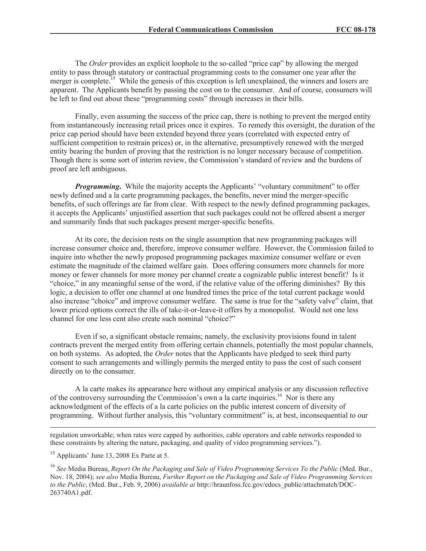The *Order* provides an explicit loophole to the so-called "price cap" by allowing the merged entity to pass through statutory or contractual programming costs to the consumer one year after the merger is complete.<sup>15</sup> While the genesis of this exception is left unexplained, the winners and losers are apparent. The Applicants benefit by passing the cost on to the consumer. And of course, consumers will be left to find out about these "programming costs" through increases in their bills.

Finally, even assuming the success of the price cap, there is nothing to prevent the merged entity from instantaneously increasing retail prices once it expires. To remedy this oversight, the duration of the price cap period should have been extended beyond three years (correlated with expected entry of sufficient competition to restrain prices) or, in the alternative, presumptively renewed with the merged entity bearing the burden of proving that the restriction is no longer necessary because of competition. Though there is some sort of interim review, the Commission's standard of review and the burdens of proof are left ambiguous.

*Programming*. While the majority accepts the Applicants' "voluntary commitment" to offer newly defined and a la carte programming packages, the benefits, never mind the merger-specific benefits, of such offerings are far from clear. With respect to the newly defined programming packages, it accepts the Applicants' unjustified assertion that such packages could not be offered absent a merger and summarily finds that such packages present merger-specific benefits.

At its core, the decision rests on the single assumption that new programming packages will increase consumer choice and, therefore, improve consumer welfare. However, the Commission failed to inquire into whether the newly proposed programming packages maximize consumer welfare or even estimate the magnitude of the claimed welfare gain. Does offering consumers more channels for more money or fewer channels for more money per channel create a cognizable public interest benefit? Is it "choice," in any meaningful sense of the word, if the relative value of the offering diminishes? By this logic, a decision to offer one channel at one hundred times the price of the total current package would also increase "choice" and improve consumer welfare. The same is true for the "safety valve" claim, that lower priced options correct the ills of take-it-or-leave-it offers by a monopolist. Would not one less channel for one less cent also create such nominal "choice?"

Even if so, a significant obstacle remains; namely, the exclusivity provisions found in talent contracts prevent the merged entity from offering certain channels, potentially the most popular channels, on both systems. As adopted, the *Order* notes that the Applicants have pledged to seek third party consent to such arrangements and willingly permits the merged entity to pass the cost of such consent directly on to the consumer.

A la carte makes its appearance here without any empirical analysis or any discussion reflective of the controversy surrounding the Commission's own a la carte inquiries.<sup>16</sup> Nor is there any acknowledgment of the effects of a la carte policies on the public interest concern of diversity of programming. Without further analysis, this "voluntary commitment" is, at best, inconsequential to our

regulation unworkable; when rates were capped by authorities, cable operators and cable networks responded to these constraints by altering the nature, packaging, and quality of video programming services.").

<sup>15</sup> Applicants' June 13, 2008 Ex Parte at 5.

<sup>16</sup> *See* Media Bureau, *Report On the Packaging and Sale of Video Programming Services To the Public* (Med. Bur., Nov. 18, 2004); *see also* Media Bureau, *Further Report on the Packaging and Sale of Video Programming Services to the Public*, (Med. Bur., Feb. 9, 2006) *available at* http://hraunfoss.fcc.gov/edocs\_public/attachmatch/DOC-263740A1.pdf.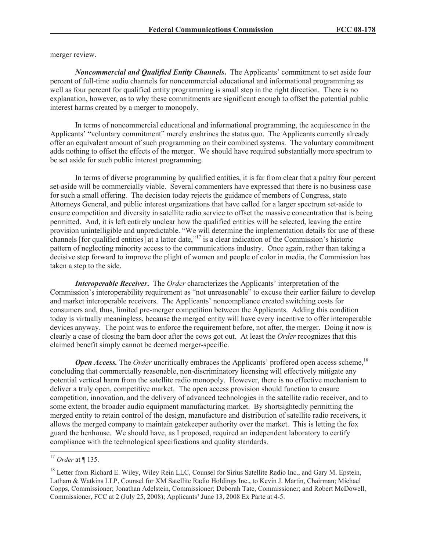merger review.

*Noncommercial and Qualified Entity Channels***.** The Applicants' commitment to set aside four percent of full-time audio channels for noncommercial educational and informational programming as well as four percent for qualified entity programming is small step in the right direction. There is no explanation, however, as to why these commitments are significant enough to offset the potential public interest harms created by a merger to monopoly.

In terms of noncommercial educational and informational programming, the acquiescence in the Applicants' "voluntary commitment" merely enshrines the status quo. The Applicants currently already offer an equivalent amount of such programming on their combined systems. The voluntary commitment adds nothing to offset the effects of the merger. We should have required substantially more spectrum to be set aside for such public interest programming.

In terms of diverse programming by qualified entities, it is far from clear that a paltry four percent set-aside will be commercially viable. Several commenters have expressed that there is no business case for such a small offering. The decision today rejects the guidance of members of Congress, state Attorneys General, and public interest organizations that have called for a larger spectrum set-aside to ensure competition and diversity in satellite radio service to offset the massive concentration that is being permitted. And, it is left entirely unclear how the qualified entities will be selected, leaving the entire provision unintelligible and unpredictable. "We will determine the implementation details for use of these channels [for qualified entities] at a latter date,"<sup>17</sup> is a clear indication of the Commission's historic pattern of neglecting minority access to the communications industry. Once again, rather than taking a decisive step forward to improve the plight of women and people of color in media, the Commission has taken a step to the side.

*Interoperable Receiver***.** The *Order* characterizes the Applicants' interpretation of the Commission's interoperability requirement as "not unreasonable" to excuse their earlier failure to develop and market interoperable receivers. The Applicants' noncompliance created switching costs for consumers and, thus, limited pre-merger competition between the Applicants. Adding this condition today is virtually meaningless, because the merged entity will have every incentive to offer interoperable devices anyway. The point was to enforce the requirement before, not after, the merger. Doing it now is clearly a case of closing the barn door after the cows got out. At least the *Order* recognizes that this claimed benefit simply cannot be deemed merger-specific.

*Open Access.* The *Order* uncritically embraces the Applicants' proffered open access scheme,<sup>18</sup> concluding that commercially reasonable, non-discriminatory licensing will effectively mitigate any potential vertical harm from the satellite radio monopoly. However, there is no effective mechanism to deliver a truly open, competitive market. The open access provision should function to ensure competition, innovation, and the delivery of advanced technologies in the satellite radio receiver, and to some extent, the broader audio equipment manufacturing market. By shortsightedly permitting the merged entity to retain control of the design, manufacture and distribution of satellite radio receivers, it allows the merged company to maintain gatekeeper authority over the market. This is letting the fox guard the henhouse. We should have, as I proposed, required an independent laboratory to certify compliance with the technological specifications and quality standards.

<sup>17</sup> *Order* at ¶ 135.

<sup>&</sup>lt;sup>18</sup> Letter from Richard E. Wiley, Wiley Rein LLC, Counsel for Sirius Satellite Radio Inc., and Gary M. Epstein, Latham & Watkins LLP, Counsel for XM Satellite Radio Holdings Inc., to Kevin J. Martin, Chairman; Michael Copps, Commissioner; Jonathan Adelstein, Commissioner; Deborah Tate, Commissioner; and Robert McDowell, Commissioner, FCC at 2 (July 25, 2008); Applicants' June 13, 2008 Ex Parte at 4-5.